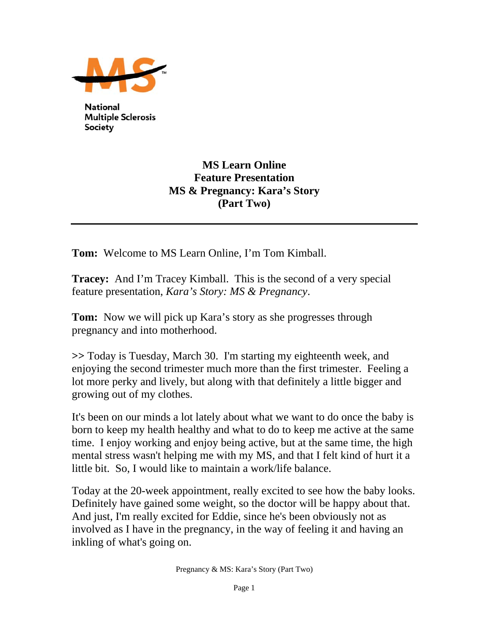

**National Multiple Sclerosis** Society

## **MS Learn Online Feature Presentation MS & Pregnancy: Kara's Story (Part Two)**

**Tom:** Welcome to MS Learn Online, I'm Tom Kimball.

**Tracey:** And I'm Tracey Kimball. This is the second of a very special feature presentation, *Kara's Story: MS & Pregnancy*.

**Tom:** Now we will pick up Kara's story as she progresses through pregnancy and into motherhood.

**>>** Today is Tuesday, March 30. I'm starting my eighteenth week, and enjoying the second trimester much more than the first trimester. Feeling a lot more perky and lively, but along with that definitely a little bigger and growing out of my clothes.

It's been on our minds a lot lately about what we want to do once the baby is born to keep my health healthy and what to do to keep me active at the same time. I enjoy working and enjoy being active, but at the same time, the high mental stress wasn't helping me with my MS, and that I felt kind of hurt it a little bit. So, I would like to maintain a work/life balance.

Today at the 20-week appointment, really excited to see how the baby looks. Definitely have gained some weight, so the doctor will be happy about that. And just, I'm really excited for Eddie, since he's been obviously not as involved as I have in the pregnancy, in the way of feeling it and having an inkling of what's going on.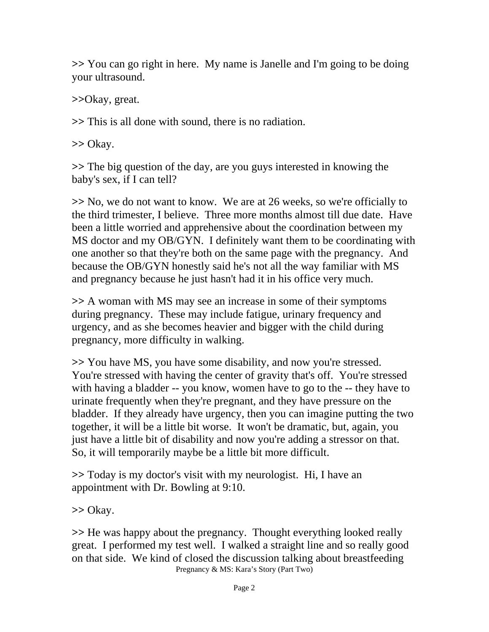**>>** You can go right in here. My name is Janelle and I'm going to be doing your ultrasound.

**>>**Okay, great.

**>>** This is all done with sound, there is no radiation.

**>>** Okay.

**>>** The big question of the day, are you guys interested in knowing the baby's sex, if I can tell?

**>>** No, we do not want to know. We are at 26 weeks, so we're officially to the third trimester, I believe. Three more months almost till due date. Have been a little worried and apprehensive about the coordination between my MS doctor and my OB/GYN. I definitely want them to be coordinating with one another so that they're both on the same page with the pregnancy. And because the OB/GYN honestly said he's not all the way familiar with MS and pregnancy because he just hasn't had it in his office very much.

**>>** A woman with MS may see an increase in some of their symptoms during pregnancy. These may include fatigue, urinary frequency and urgency, and as she becomes heavier and bigger with the child during pregnancy, more difficulty in walking.

**>>** You have MS, you have some disability, and now you're stressed. You're stressed with having the center of gravity that's off. You're stressed with having a bladder -- you know, women have to go to the -- they have to urinate frequently when they're pregnant, and they have pressure on the bladder. If they already have urgency, then you can imagine putting the two together, it will be a little bit worse. It won't be dramatic, but, again, you just have a little bit of disability and now you're adding a stressor on that. So, it will temporarily maybe be a little bit more difficult.

**>>** Today is my doctor's visit with my neurologist. Hi, I have an appointment with Dr. Bowling at 9:10.

**>>** Okay.

Pregnancy & MS: Kara's Story (Part Two) **>>** He was happy about the pregnancy. Thought everything looked really great. I performed my test well. I walked a straight line and so really good on that side. We kind of closed the discussion talking about breastfeeding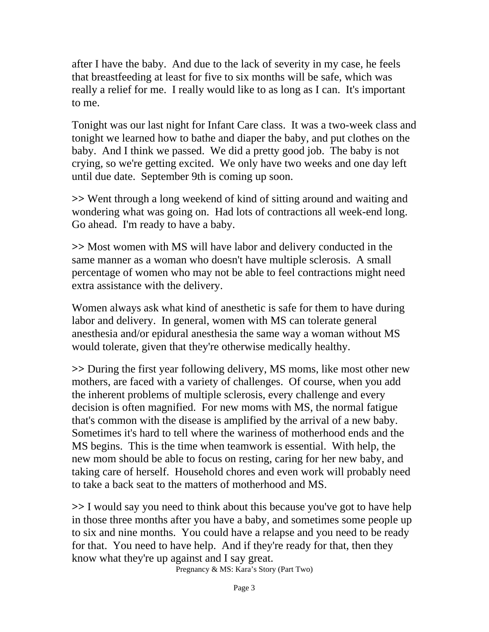after I have the baby. And due to the lack of severity in my case, he feels that breastfeeding at least for five to six months will be safe, which was really a relief for me. I really would like to as long as I can. It's important to me.

Tonight was our last night for Infant Care class. It was a two-week class and tonight we learned how to bathe and diaper the baby, and put clothes on the baby. And I think we passed. We did a pretty good job. The baby is not crying, so we're getting excited. We only have two weeks and one day left until due date. September 9th is coming up soon.

**>>** Went through a long weekend of kind of sitting around and waiting and wondering what was going on. Had lots of contractions all week-end long. Go ahead. I'm ready to have a baby.

**>>** Most women with MS will have labor and delivery conducted in the same manner as a woman who doesn't have multiple sclerosis. A small percentage of women who may not be able to feel contractions might need extra assistance with the delivery.

Women always ask what kind of anesthetic is safe for them to have during labor and delivery. In general, women with MS can tolerate general anesthesia and/or epidural anesthesia the same way a woman without MS would tolerate, given that they're otherwise medically healthy.

**>>** During the first year following delivery, MS moms, like most other new mothers, are faced with a variety of challenges. Of course, when you add the inherent problems of multiple sclerosis, every challenge and every decision is often magnified. For new moms with MS, the normal fatigue that's common with the disease is amplified by the arrival of a new baby. Sometimes it's hard to tell where the wariness of motherhood ends and the MS begins. This is the time when teamwork is essential. With help, the new mom should be able to focus on resting, caring for her new baby, and taking care of herself. Household chores and even work will probably need to take a back seat to the matters of motherhood and MS.

**>>** I would say you need to think about this because you've got to have help in those three months after you have a baby, and sometimes some people up to six and nine months. You could have a relapse and you need to be ready for that. You need to have help. And if they're ready for that, then they know what they're up against and I say great.

Pregnancy & MS: Kara's Story (Part Two)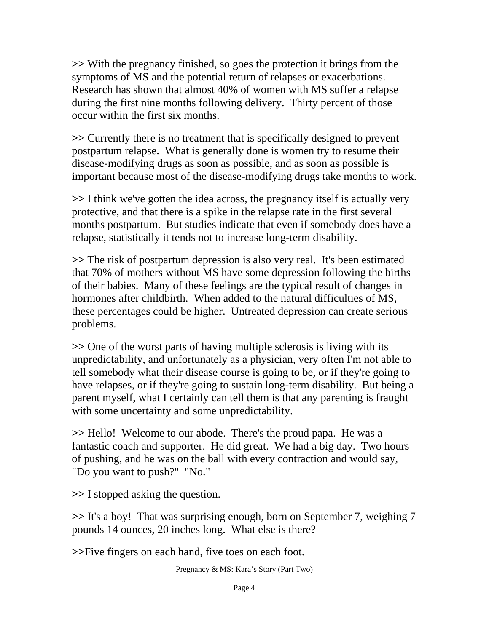**>>** With the pregnancy finished, so goes the protection it brings from the symptoms of MS and the potential return of relapses or exacerbations. Research has shown that almost 40% of women with MS suffer a relapse during the first nine months following delivery. Thirty percent of those occur within the first six months.

**>>** Currently there is no treatment that is specifically designed to prevent postpartum relapse. What is generally done is women try to resume their disease-modifying drugs as soon as possible, and as soon as possible is important because most of the disease-modifying drugs take months to work.

**>>** I think we've gotten the idea across, the pregnancy itself is actually very protective, and that there is a spike in the relapse rate in the first several months postpartum. But studies indicate that even if somebody does have a relapse, statistically it tends not to increase long-term disability.

**>>** The risk of postpartum depression is also very real. It's been estimated that 70% of mothers without MS have some depression following the births of their babies. Many of these feelings are the typical result of changes in hormones after childbirth. When added to the natural difficulties of MS, these percentages could be higher. Untreated depression can create serious problems.

**>>** One of the worst parts of having multiple sclerosis is living with its unpredictability, and unfortunately as a physician, very often I'm not able to tell somebody what their disease course is going to be, or if they're going to have relapses, or if they're going to sustain long-term disability. But being a parent myself, what I certainly can tell them is that any parenting is fraught with some uncertainty and some unpredictability.

**>>** Hello! Welcome to our abode. There's the proud papa. He was a fantastic coach and supporter. He did great. We had a big day. Two hours of pushing, and he was on the ball with every contraction and would say, "Do you want to push?" "No."

**>>** I stopped asking the question.

**>>** It's a boy! That was surprising enough, born on September 7, weighing 7 pounds 14 ounces, 20 inches long. What else is there?

**>>**Five fingers on each hand, five toes on each foot.